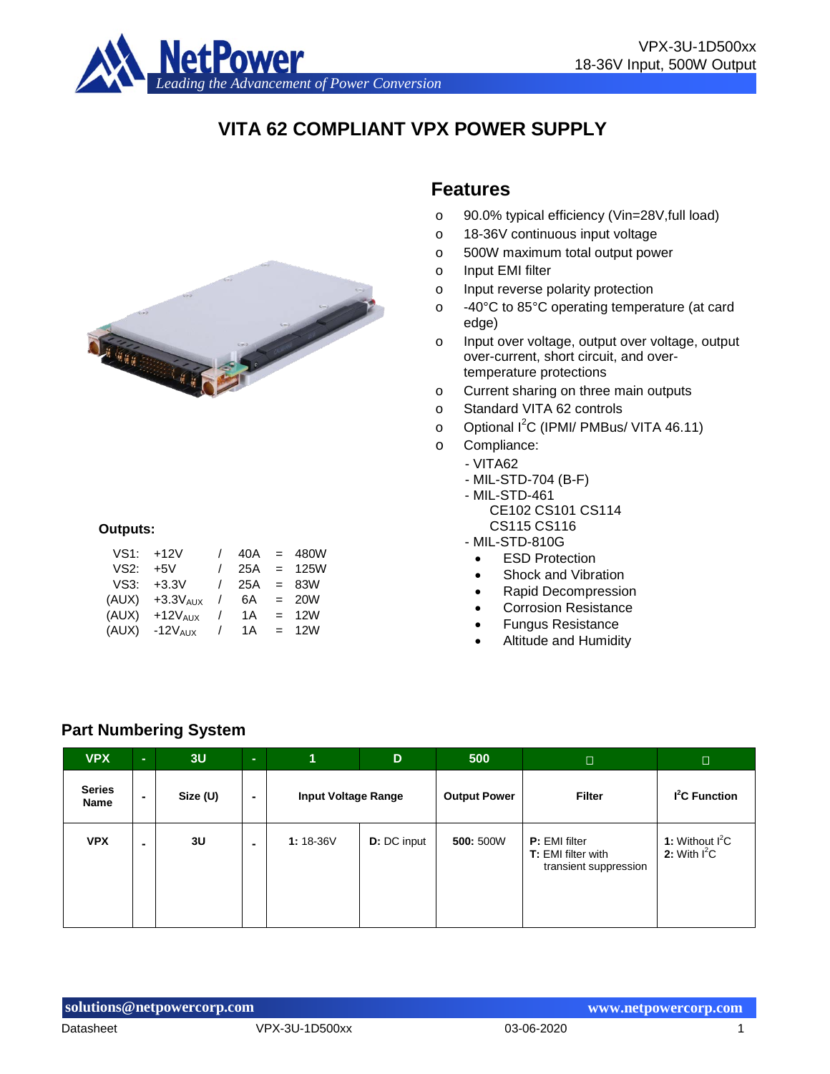

# **VITA 62 COMPLIANT VPX POWER SUPPLY**



#### **Outputs:**

| VS1:  | $+12V$        | $\prime$   | 40A | $=$               | 480W        |
|-------|---------------|------------|-----|-------------------|-------------|
| VS2:  | +5V           | $\prime$   | 25A | $\equiv$          | <b>125W</b> |
| VS3:  | $+3.3V$       | $\prime$   | 25A |                   | $= 83W$     |
| (AUX) | $+3.3V_{AUX}$ | $\prime$   | 6A  |                   | $= 20W$     |
| (AUX) | $+12V_{AIX}$  | $\prime$   | 1 A | $\equiv$ $\equiv$ | 12W         |
| (AUX) | $-12V_{AIX}$  | $\sqrt{2}$ | 1 A | $=$ $-$           | 12W         |

#### **Features**

- o 90.0% typical efficiency (Vin=28V,full load)
- o 18-36V continuous input voltage
- o 500W maximum total output power
- o Input EMI filter
- o Input reverse polarity protection
- o -40°C to 85°C operating temperature (at card edge)
- o Input over voltage, output over voltage, output over-current, short circuit, and overtemperature protections
- o Current sharing on three main outputs
- o Standard VITA 62 controls
- o Optional I<sup>2</sup>C (IPMI/ PMBus/ VITA 46.11)
- o Compliance:
- VITA62
	- MIL-STD-704 (B-F)
	- MIL-STD-461
		- CE102 CS101 CS114 CS115 CS116
	- MIL-STD-810G
		- ESD Protection
		- Shock and Vibration
		- Rapid Decompression
		- Corrosion Resistance
		- Fungus Resistance
		- Altitude and Humidity

#### **Part Numbering System**

| <b>VPX</b>            | $\sim$ | 3U       | $\sim$         | 1                          | D                  | 500                 | $\Box$                                                                     | $\Box$                              |
|-----------------------|--------|----------|----------------|----------------------------|--------------------|---------------------|----------------------------------------------------------------------------|-------------------------------------|
| <b>Series</b><br>Name | $\sim$ | Size (U) | $\blacksquare$ | <b>Input Voltage Range</b> |                    | <b>Output Power</b> | <b>Filter</b>                                                              | $I2C$ Function                      |
| <b>VPX</b>            |        | 3U       |                | $1:18-36V$                 | <b>D:</b> DC input | 500: 500W           | <b>P:</b> EMI filter<br><b>T:</b> EMI filter with<br>transient suppression | 1: Without $I^2C$<br>2: With $I^2C$ |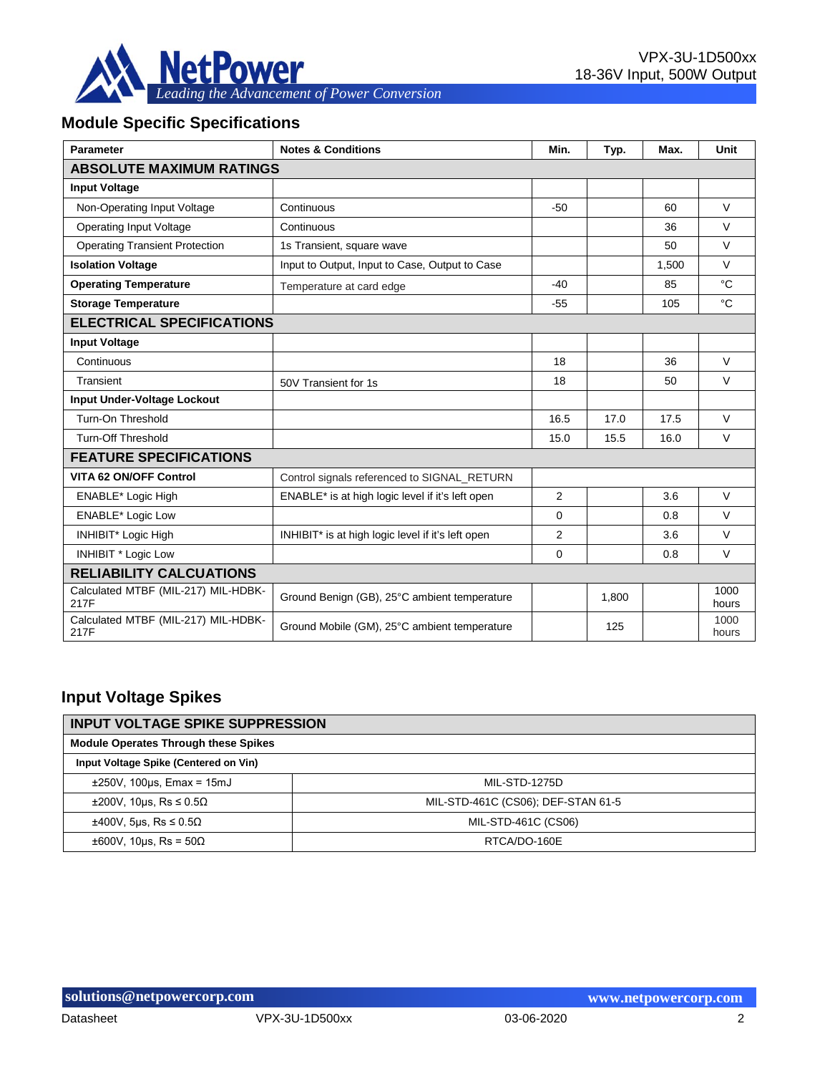

## **Module Specific Specifications**

| <b>Parameter</b>                            | <b>Notes &amp; Conditions</b>                     | Min.           | Typ.  | Max.  | Unit          |
|---------------------------------------------|---------------------------------------------------|----------------|-------|-------|---------------|
| <b>ABSOLUTE MAXIMUM RATINGS</b>             |                                                   |                |       |       |               |
| <b>Input Voltage</b>                        |                                                   |                |       |       |               |
| Non-Operating Input Voltage                 | Continuous                                        | $-50$          |       | 60    | $\vee$        |
| <b>Operating Input Voltage</b>              | Continuous                                        |                |       | 36    | $\vee$        |
| <b>Operating Transient Protection</b>       | 1s Transient, square wave                         |                |       | 50    | $\vee$        |
| <b>Isolation Voltage</b>                    | Input to Output, Input to Case, Output to Case    |                |       | 1.500 | $\vee$        |
| <b>Operating Temperature</b>                | Temperature at card edge                          | $-40$          |       | 85    | °C            |
| <b>Storage Temperature</b>                  |                                                   | $-55$          |       | 105   | °C            |
| <b>ELECTRICAL SPECIFICATIONS</b>            |                                                   |                |       |       |               |
| <b>Input Voltage</b>                        |                                                   |                |       |       |               |
| Continuous                                  |                                                   | 18             |       | 36    | $\vee$        |
| Transient                                   | 50V Transient for 1s                              | 18             |       | 50    | $\vee$        |
| <b>Input Under-Voltage Lockout</b>          |                                                   |                |       |       |               |
| Turn-On Threshold                           |                                                   | 16.5           | 17.0  | 17.5  | $\vee$        |
| <b>Turn-Off Threshold</b>                   |                                                   | 15.0           | 15.5  | 16.0  | $\vee$        |
| <b>FEATURE SPECIFICATIONS</b>               |                                                   |                |       |       |               |
| VITA 62 ON/OFF Control                      | Control signals referenced to SIGNAL RETURN       |                |       |       |               |
| <b>ENABLE*</b> Logic High                   | ENABLE* is at high logic level if it's left open  | 2              |       | 3.6   | $\vee$        |
| <b>ENABLE*</b> Logic Low                    |                                                   | $\Omega$       |       | 0.8   | $\vee$        |
| INHIBIT* Logic High                         | INHIBIT* is at high logic level if it's left open | $\overline{2}$ |       | 3.6   | $\vee$        |
| <b>INHIBIT * Logic Low</b>                  |                                                   | $\Omega$       |       | 0.8   | $\vee$        |
| <b>RELIABILITY CALCUATIONS</b>              |                                                   |                |       |       |               |
| Calculated MTBF (MIL-217) MIL-HDBK-<br>217F | Ground Benign (GB), 25°C ambient temperature      |                | 1,800 |       | 1000<br>hours |
| Calculated MTBF (MIL-217) MIL-HDBK-<br>217F | Ground Mobile (GM), 25°C ambient temperature      |                | 125   |       | 1000<br>hours |

# **Input Voltage Spikes**

| <b>INPUT VOLTAGE SPIKE SUPPRESSION</b>      |                                    |  |  |  |  |
|---------------------------------------------|------------------------------------|--|--|--|--|
| <b>Module Operates Through these Spikes</b> |                                    |  |  |  |  |
| Input Voltage Spike (Centered on Vin)       |                                    |  |  |  |  |
| $\pm 250V$ , 100 $\mu$ s, Emax = 15mJ       | MIL-STD-1275D                      |  |  |  |  |
| $\pm 200$ V, 10us, Rs $\leq 0.5\Omega$      | MIL-STD-461C (CS06); DEF-STAN 61-5 |  |  |  |  |
| $\pm 400V$ , 5µs, Rs $\leq 0.5\Omega$       | MIL-STD-461C (CS06)                |  |  |  |  |
| $\pm 600V$ , 10us, Rs = 50 $\Omega$         | RTCA/DO-160E                       |  |  |  |  |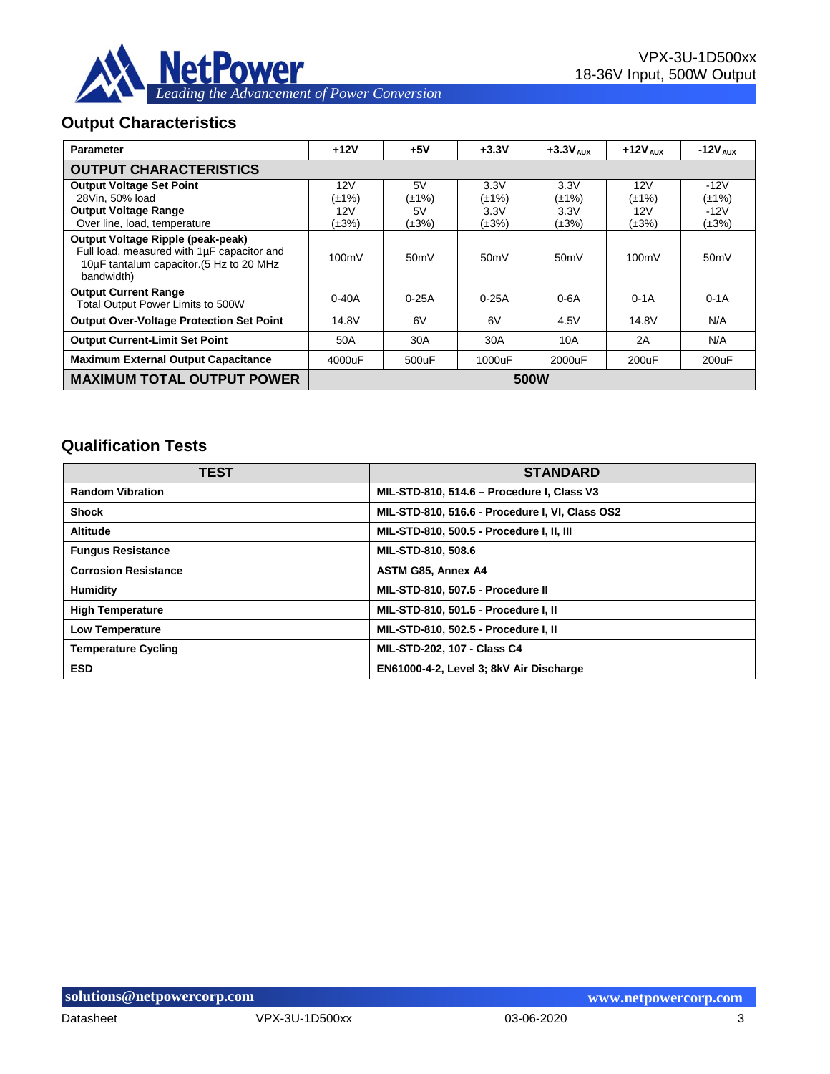

#### **Output Characteristics**

| <b>Parameter</b>                                                                                                                          | $+12V$    | $+5V$       | $+3.3V$     | $+3.3V$ Alix | $+12V$ AUX  | $-12V$ AUX  |
|-------------------------------------------------------------------------------------------------------------------------------------------|-----------|-------------|-------------|--------------|-------------|-------------|
| <b>OUTPUT CHARACTERISTICS</b>                                                                                                             |           |             |             |              |             |             |
| <b>Output Voltage Set Point</b>                                                                                                           | 12V       | 5V          | 3.3V        | 3.3V         | 12V         | $-12V$      |
| 28Vin. 50% load                                                                                                                           | (±1%)     | (±1%)       | (±1%)       | (±1%)        | (±1%)       | $(\pm 1\%)$ |
| <b>Output Voltage Range</b>                                                                                                               | 12V       | 5V          | 3.3V        | 3.3V         | 12V         | $-12V$      |
| Over line, load, temperature                                                                                                              | (±3%)     | $(\pm 3\%)$ | $(\pm 3\%)$ | $(\pm 3\%)$  | $(\pm 3\%)$ | $(\pm 3\%)$ |
| Output Voltage Ripple (peak-peak)<br>Full load, measured with 1µF capacitor and<br>10µF tantalum capacitor. (5 Hz to 20 MHz<br>bandwidth) | 100mV     | 50mV        | 50mV        | 50mV         | 100mV       | 50mV        |
| <b>Output Current Range</b><br>Total Output Power Limits to 500W                                                                          | $0 - 40A$ | $0-25A$     | $0-25A$     | $0-6A$       | $0-1A$      | $0-1A$      |
| <b>Output Over-Voltage Protection Set Point</b>                                                                                           | 14.8V     | 6V          | 6V          | 4.5V         | 14.8V       | N/A         |
| <b>Output Current-Limit Set Point</b>                                                                                                     | 50A       | 30A         | 30A         | 10A          | 2A          | N/A         |
| <b>Maximum External Output Capacitance</b>                                                                                                | 4000uF    | 500uF       | 1000uF      | 2000uF       | 200uF       | 200uF       |
| <b>MAXIMUM TOTAL OUTPUT POWER</b>                                                                                                         |           |             |             | 500W         |             |             |

## **Qualification Tests**

| <b>TEST</b>                 | <b>STANDARD</b>                                 |
|-----------------------------|-------------------------------------------------|
| <b>Random Vibration</b>     | MIL-STD-810, 514.6 - Procedure I, Class V3      |
| <b>Shock</b>                | MIL-STD-810, 516.6 - Procedure I, VI, Class OS2 |
| <b>Altitude</b>             | MIL-STD-810, 500.5 - Procedure I, II, III       |
| <b>Fungus Resistance</b>    | MIL-STD-810, 508.6                              |
| <b>Corrosion Resistance</b> | <b>ASTM G85, Annex A4</b>                       |
| Humidity                    | MIL-STD-810, 507.5 - Procedure II               |
| <b>High Temperature</b>     | MIL-STD-810, 501.5 - Procedure I, II            |
| Low Temperature             | MIL-STD-810, 502.5 - Procedure I, II            |
| <b>Temperature Cycling</b>  | MIL-STD-202, 107 - Class C4                     |
| <b>ESD</b>                  | EN61000-4-2, Level 3; 8kV Air Discharge         |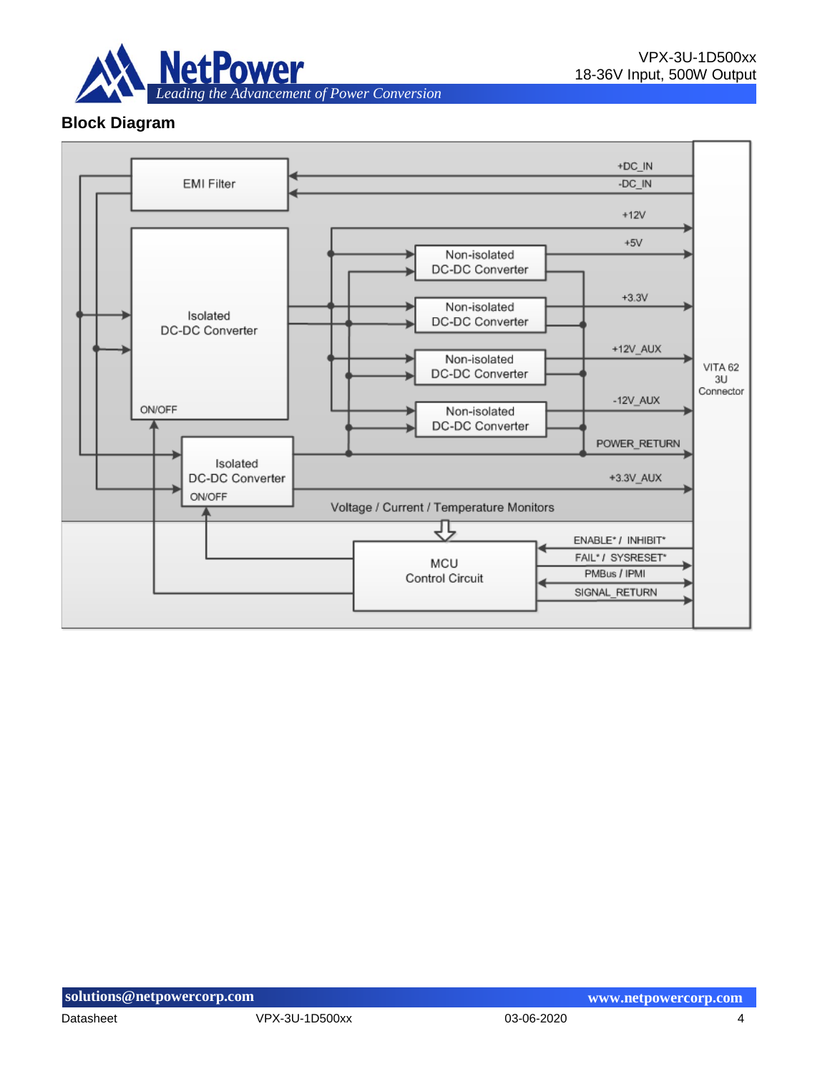

## **Block Diagram**

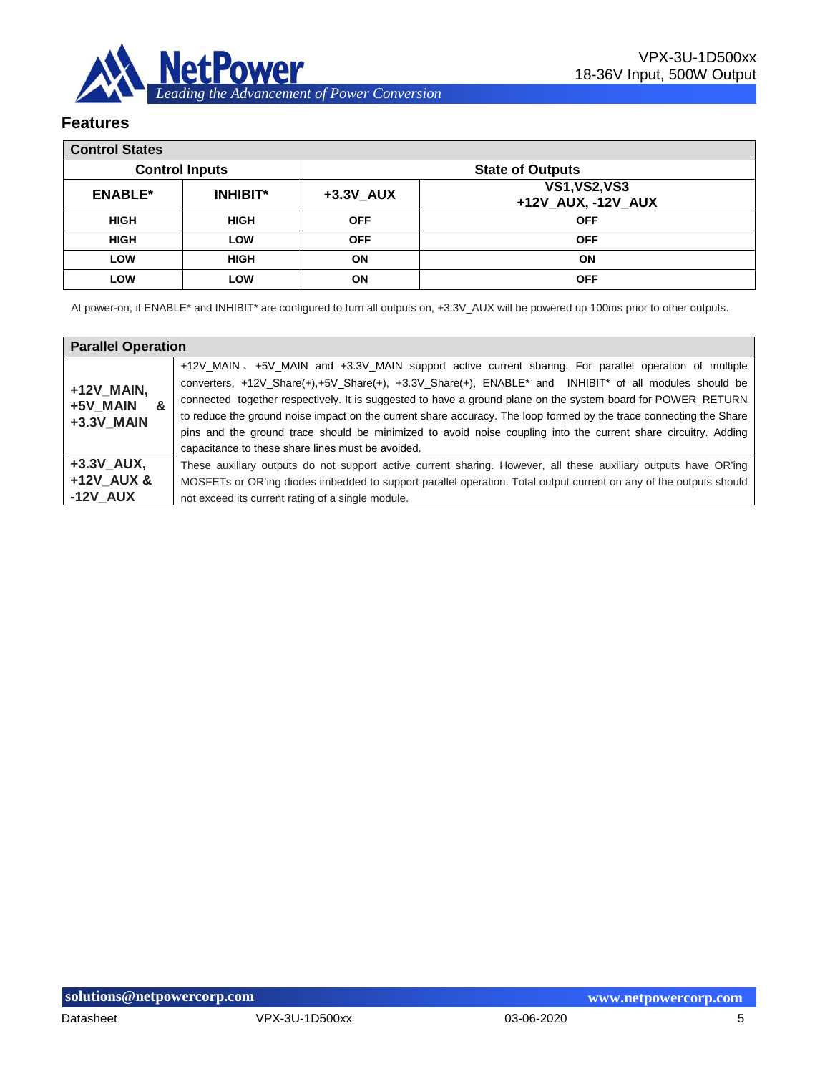

#### **Features**

| <b>Control States</b> |                       |            |                                            |
|-----------------------|-----------------------|------------|--------------------------------------------|
|                       | <b>Control Inputs</b> |            | <b>State of Outputs</b>                    |
| <b>ENABLE*</b>        | <b>INHIBIT*</b>       | +3.3V AUX  | <b>VS1, VS2, VS3</b><br>+12V_AUX, -12V_AUX |
| <b>HIGH</b>           | <b>HIGH</b>           | <b>OFF</b> | <b>OFF</b>                                 |
| <b>HIGH</b>           | LOW                   | <b>OFF</b> | <b>OFF</b>                                 |
| LOW                   | <b>HIGH</b>           | <b>ON</b>  | ON                                         |
| LOW                   | LOW                   | <b>ON</b>  | <b>OFF</b>                                 |

At power-on, if ENABLE\* and INHIBIT\* are configured to turn all outputs on, +3.3V\_AUX will be powered up 100ms prior to other outputs.

| <b>Parallel Operation</b>                 |                                                                                                                                                                                                                                                                                                                                                                                                                                                                                                                                                                                                                                                     |
|-------------------------------------------|-----------------------------------------------------------------------------------------------------------------------------------------------------------------------------------------------------------------------------------------------------------------------------------------------------------------------------------------------------------------------------------------------------------------------------------------------------------------------------------------------------------------------------------------------------------------------------------------------------------------------------------------------------|
| +12V MAIN,<br>+5V MAIN<br>&<br>+3.3V MAIN | +12V_MAIN 、+5V_MAIN and +3.3V_MAIN support active current sharing. For parallel operation of multiple<br>converters, +12V_Share(+),+5V_Share(+), +3.3V_Share(+), ENABLE <sup>*</sup> and INHIBIT <sup>*</sup> of all modules should be<br>connected together respectively. It is suggested to have a ground plane on the system board for POWER_RETURN<br>to reduce the ground noise impact on the current share accuracy. The loop formed by the trace connecting the Share<br>pins and the ground trace should be minimized to avoid noise coupling into the current share circuitry. Adding<br>capacitance to these share lines must be avoided. |
| +3.3V AUX,<br>+12V AUX &<br>$-12V$ AUX    | These auxiliary outputs do not support active current sharing. However, all these auxiliary outputs have OR'ing<br>MOSFETs or OR'ing diodes imbedded to support parallel operation. Total output current on any of the outputs should<br>not exceed its current rating of a single module.                                                                                                                                                                                                                                                                                                                                                          |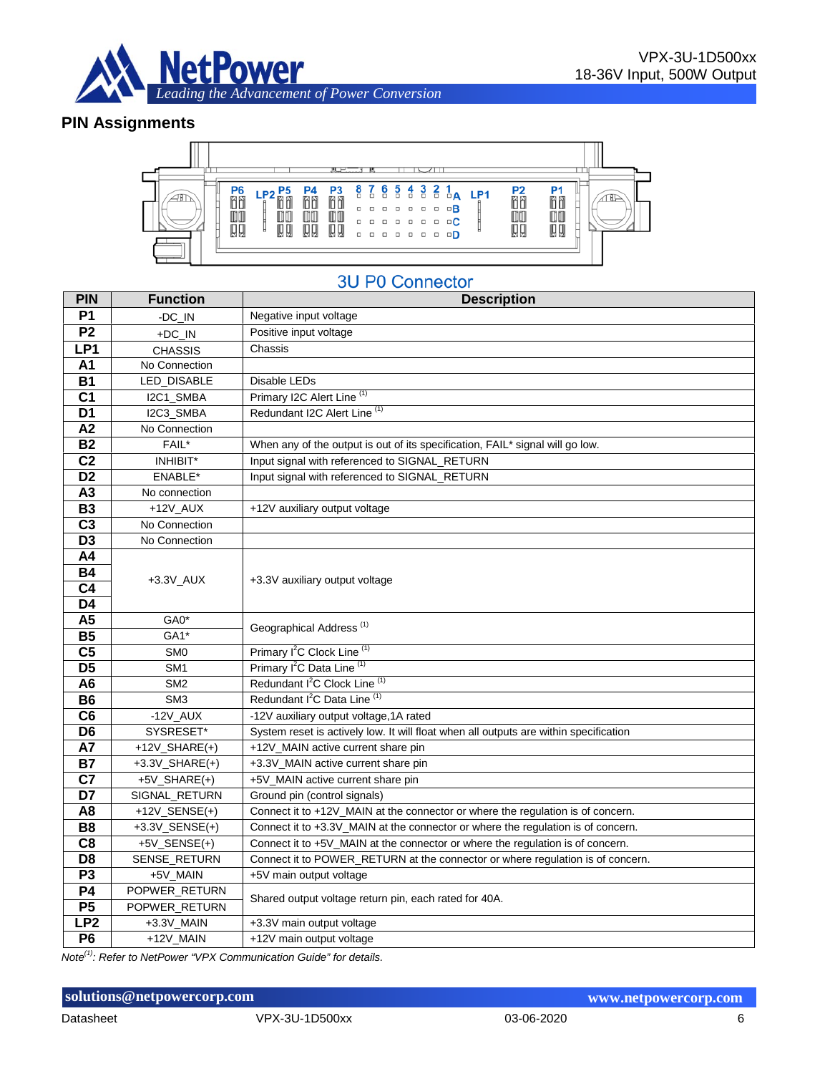

#### **PIN Assignments**



# **3U P0 Connector**

| <b>PIN</b>      | <b>Function</b>      | <b>Description</b>                                                                    |  |  |  |  |
|-----------------|----------------------|---------------------------------------------------------------------------------------|--|--|--|--|
| <b>P1</b>       | -DC_IN               | Negative input voltage                                                                |  |  |  |  |
| P <sub>2</sub>  | $+DC$ <sub>IN</sub>  | Positive input voltage                                                                |  |  |  |  |
| LP <sub>1</sub> | <b>CHASSIS</b>       | Chassis                                                                               |  |  |  |  |
| A1              | No Connection        |                                                                                       |  |  |  |  |
| <b>B1</b>       | LED_DISABLE          | Disable LEDs                                                                          |  |  |  |  |
| C <sub>1</sub>  | I2C1_SMBA            | Primary I2C Alert Line (1)                                                            |  |  |  |  |
| D <sub>1</sub>  | I2C3 SMBA            | Redundant I2C Alert Line <sup>(1)</sup>                                               |  |  |  |  |
| A2              | No Connection        |                                                                                       |  |  |  |  |
| <b>B2</b>       | FAIL*                | When any of the output is out of its specification, FAIL* signal will go low.         |  |  |  |  |
| C <sub>2</sub>  | INHIBIT*             | Input signal with referenced to SIGNAL_RETURN                                         |  |  |  |  |
| D <sub>2</sub>  | ENABLE*              | Input signal with referenced to SIGNAL_RETURN                                         |  |  |  |  |
| A3              | No connection        |                                                                                       |  |  |  |  |
| <b>B3</b>       | $+12V$ AUX           | +12V auxiliary output voltage                                                         |  |  |  |  |
| $\overline{C3}$ | No Connection        |                                                                                       |  |  |  |  |
| D <sub>3</sub>  | No Connection        |                                                                                       |  |  |  |  |
| A4              |                      |                                                                                       |  |  |  |  |
| <b>B4</b>       | $+3.3V$ _AUX         | +3.3V auxiliary output voltage                                                        |  |  |  |  |
| C <sub>4</sub>  |                      |                                                                                       |  |  |  |  |
| D <sub>4</sub>  |                      |                                                                                       |  |  |  |  |
| A <sub>5</sub>  | GA0*                 | Geographical Address <sup>(1)</sup>                                                   |  |  |  |  |
| <b>B5</b>       | GA1*                 |                                                                                       |  |  |  |  |
| C <sub>5</sub>  | SM <sub>0</sub>      | Primary I <sup>2</sup> C Clock Line <sup>(1)</sup>                                    |  |  |  |  |
| $\overline{D5}$ | SM <sub>1</sub>      | Primary I <sup>2</sup> C Data Line <sup>(1)</sup>                                     |  |  |  |  |
| A <sub>6</sub>  | SM <sub>2</sub>      | Redundant I <sup>2</sup> C Clock Line <sup>(1)</sup>                                  |  |  |  |  |
| <b>B6</b>       | SM <sub>3</sub>      | Redundant I <sup>2</sup> C Data Line <sup>(1)</sup>                                   |  |  |  |  |
| C <sub>6</sub>  | $-12V$ _AUX          | -12V auxiliary output voltage, 1A rated                                               |  |  |  |  |
| D <sub>6</sub>  | SYSRESET*            | System reset is actively low. It will float when all outputs are within specification |  |  |  |  |
| <b>A7</b>       | $+12V$ _SHARE(+)     | +12V_MAIN active current share pin                                                    |  |  |  |  |
| <b>B7</b>       | $+3.3V$ _SHARE(+)    | +3.3V_MAIN active current share pin                                                   |  |  |  |  |
| C7              | $+5V$ _SHARE(+)      | +5V_MAIN active current share pin                                                     |  |  |  |  |
| D7              | SIGNAL_RETURN        | Ground pin (control signals)                                                          |  |  |  |  |
| A <sub>8</sub>  | $+12V$ _SENSE $(+)$  | Connect it to +12V_MAIN at the connector or where the regulation is of concern.       |  |  |  |  |
| <b>B8</b>       | $+3.3V$ _SENSE $(+)$ | Connect it to +3.3V_MAIN at the connector or where the regulation is of concern.      |  |  |  |  |
| C <sub>8</sub>  | $+5V$ _SENSE(+)      | Connect it to +5V_MAIN at the connector or where the regulation is of concern.        |  |  |  |  |
| D <sub>8</sub>  | SENSE_RETURN         | Connect it to POWER_RETURN at the connector or where regulation is of concern.        |  |  |  |  |
| P <sub>3</sub>  | +5V_MAIN             | +5V main output voltage                                                               |  |  |  |  |
| <b>P4</b>       | POPWER_RETURN        | Shared output voltage return pin, each rated for 40A.                                 |  |  |  |  |
| P5              | POPWER_RETURN        |                                                                                       |  |  |  |  |
| LP <sub>2</sub> | +3.3V_MAIN           | +3.3V main output voltage                                                             |  |  |  |  |
| P <sub>6</sub>  | +12V_MAIN            | +12V main output voltage                                                              |  |  |  |  |

*Note(1): Refer to NetPower "VPX Communication Guide" for details.* 

#### **solutions@netpowercorp.com www.netpowercorp.com**